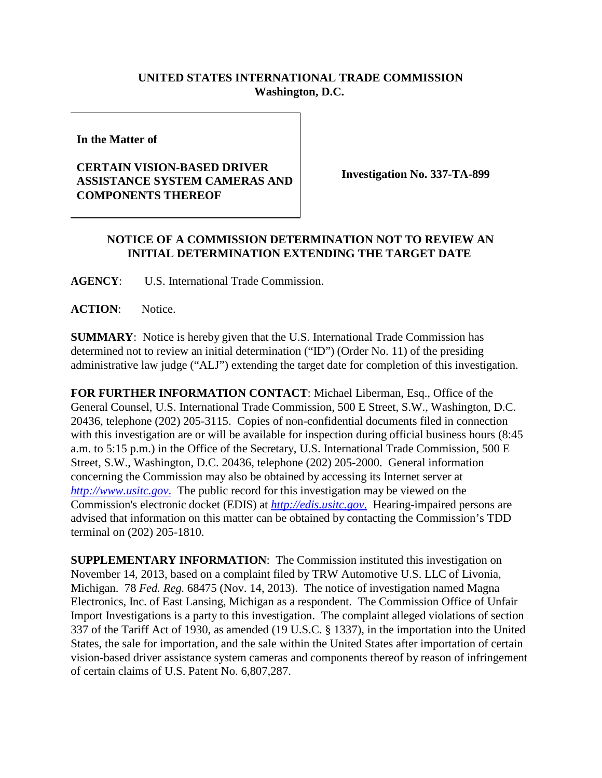## **UNITED STATES INTERNATIONAL TRADE COMMISSION Washington, D.C.**

**In the Matter of**

## **CERTAIN VISION-BASED DRIVER ASSISTANCE SYSTEM CAMERAS AND COMPONENTS THEREOF**

**Investigation No. 337-TA-899**

## **NOTICE OF A COMMISSION DETERMINATION NOT TO REVIEW AN INITIAL DETERMINATION EXTENDING THE TARGET DATE**

**AGENCY**: U.S. International Trade Commission.

**ACTION**: Notice.

**SUMMARY**: Notice is hereby given that the U.S. International Trade Commission has determined not to review an initial determination ("ID") (Order No. 11) of the presiding administrative law judge ("ALJ") extending the target date for completion of this investigation.

**FOR FURTHER INFORMATION CONTACT**: Michael Liberman, Esq., Office of the General Counsel, U.S. International Trade Commission, 500 E Street, S.W., Washington, D.C. 20436, telephone (202) 205-3115. Copies of non-confidential documents filed in connection with this investigation are or will be available for inspection during official business hours (8:45 a.m. to 5:15 p.m.) in the Office of the Secretary, U.S. International Trade Commission, 500 E Street, S.W., Washington, D.C. 20436, telephone (202) 205-2000. General information concerning the Commission may also be obtained by accessing its Internet server at *[http://www.usitc.gov](http://www.usitc.gov./)*. The public record for this investigation may be viewed on the Commission's electronic docket (EDIS) at *[http://edis.usitc.gov](http://edis.usitc.gov./)*. Hearing-impaired persons are advised that information on this matter can be obtained by contacting the Commission's TDD terminal on (202) 205-1810.

**SUPPLEMENTARY INFORMATION**: The Commission instituted this investigation on November 14, 2013, based on a complaint filed by TRW Automotive U.S. LLC of Livonia, Michigan. 78 *Fed. Reg.* 68475 (Nov. 14, 2013). The notice of investigation named Magna Electronics, Inc. of East Lansing, Michigan as a respondent. The Commission Office of Unfair Import Investigations is a party to this investigation. The complaint alleged violations of section 337 of the Tariff Act of 1930, as amended (19 U.S.C. § 1337), in the importation into the United States, the sale for importation, and the sale within the United States after importation of certain vision-based driver assistance system cameras and components thereof by reason of infringement of certain claims of U.S. Patent No. 6,807,287.